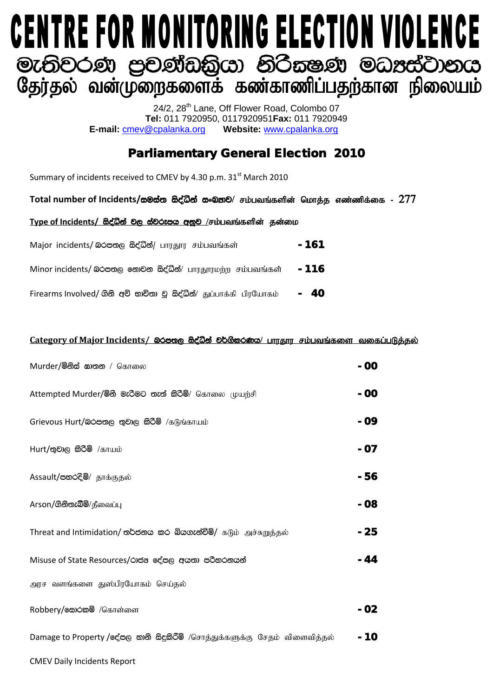# **CENTRE FOR MONITORING ELECTION VIOLENCE** මැතිවරණ පුවණ්ඩකියා නිරිකෂණ මධාස්වානය<br>ශූලා්තුல வன்முறைகளைக் கண்காணிப்பதற்கான நிலையம்

24/2, 28<sup>th</sup> Lane, Off Flower Road, Colombo 07 **Tel:** 011 7920950, 0117920951**Fax:** 011 7920949 **E-mail: cmev@cpalanka.org** 

## Parliamentary General Election 2010

Summary of incidents received to CMEV by 4.30 p.m. 31<sup>st</sup> March 2010

Total number of Incidents/සමස්ත සිද්ධින් සංඛතව/ சம்பவங்களின் மொத்த எண்ணிக்கை - 277

#### Type of Incidents/ සිද්ධින් වල ස්වරූපය අනුව /சம்பவங்களின் தன்மை

| Major incidents/ லெக்ஸ்ரே கேசீலீத்/ பாரதூர சம்பவங்கள்          | - 161 |
|----------------------------------------------------------------|-------|
| Minor incidents/ லெக்ஸ் கூற்கை க்சீதீல்/ பாரதூரமற்ற சம்பவங்கள் | - 116 |
| Firearms Involved/ தித் கூற்றை இ க்ஜீலீ துப்பாக்கி பிரயோகம்    | - 40  |

#### **Category of Major Incidents/ இරපතල සිද්ධීන් වර්ගීකරණය/ பாருதார சம்பவங்களை வகைப்படுத்தல்**

| Murder/මිනිස් සාතන / கொலை                                                   | - 00  |
|-----------------------------------------------------------------------------|-------|
| Attempted Murder/මිනි මැරිමට තැත් කිරිමි/ கொலை முயற்சி                      | - 00  |
| Grievous Hurt/බරපතල තුවාල කිරීම් /கடுங்காயம்                                | - 09  |
| Hurt/භුවාල කිරීම් /காயம்                                                    | - 07  |
| Assault/පහරදීම්/ தாக்குதல்                                                  | - 56  |
| Arson/ெல்லை சிலைப்பு                                                        | - 08  |
| Threat and Intimidation/ තර්ජනය කර බියගැන්වීම්/ கடும் அச்சுறுத்தல்          | - 25  |
| Misuse of State Resources/රාජය දේපල අයතා පරිහරනයන්                          | $-44$ |
| அரச வளங்களை துஸ்பிரயோகம் செய்தல்                                            |       |
| Robbery/கூற்கை /கொள்ளை                                                      | - 02  |
| Damage to Property / சேகு லகி கீදුකිරීම් /சொத்துக்களுக்கு சேதம் விளைவித்தல் | - 10  |
| <b>CMEV Daily Incidents Report</b>                                          |       |